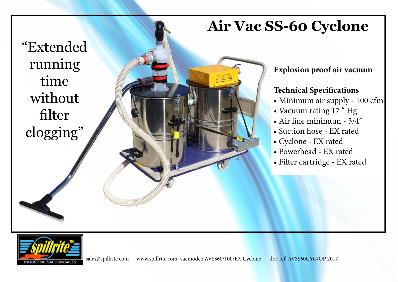## **Air Vac SS-60 Cyclone**

"Extended running time without filter clogging"

## **Explosion proof air vacuum**

### **Technical Specifications**

- Minimum air supply 100 cfm
- Vacuum rating 17 " Hg
- Air line minimum 3/4"
- Suction hose EX rated
- Cyclone EX rated
- Powerhead EX rated
- Filter cartridge EX rated

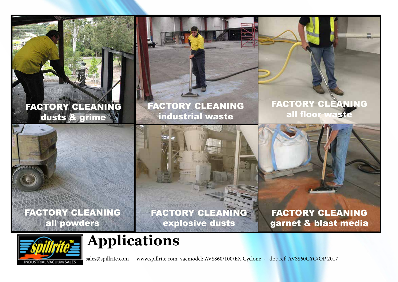## FACTORY CLEANING dusts & grime

FACTORY CLEANING industrial waste

FACTORY CLEANING all floor waste

FACTORY CLEANING all powders



FACTORY CLEANING explosive dusts

FACTORY CLEANING garnet & blast media

# NDUSTRIAL VACUUM SALES

# **Applications**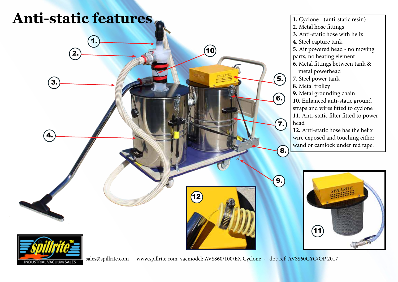

NDUSTRIAL VACUUM SALES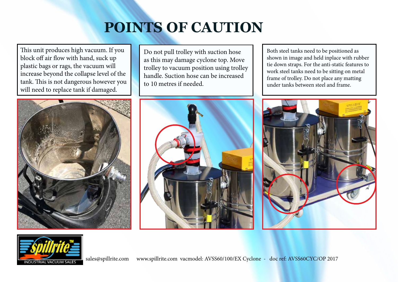# **POINTS OF CAUTION**

This unit produces high vacuum. If you block off air flow with hand, suck up plastic bags or rags, the vacuum will increase beyond the collapse level of the tank. This is not dangerous however you will need to replace tank if damaged.



Do not pull trolley with suction hose as this may damage cyclone top. Move trolley to vacuum position using trolley handle. Suction hose can be increased to 10 metres if needed.



Both steel tanks need to be positioned as shown in image and held inplace with rubber tie down straps. For the anti-static features to work steel tanks need to be sitting on metal frame of trolley. Do not place any matting under tanks between steel and frame.



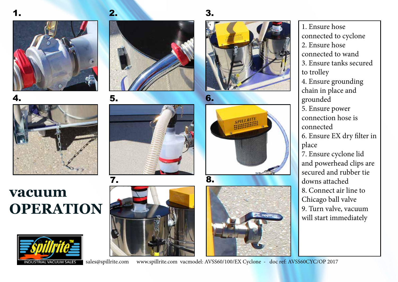















1. Ensure hose connected to cyclone 2. Ensure hose connected to wand 3. Ensure tanks secured to trolley 4. Ensure grounding chain in place and grounded 5. Ensure power connection hose is connected 6. Ensure EX dry filter in place 7. Ensure cyclone lid and powerhead clips are secured and rubber tie downs attached 8. Connect air line to Chicago ball valve 9. Turn valve, vacuum will start immediately